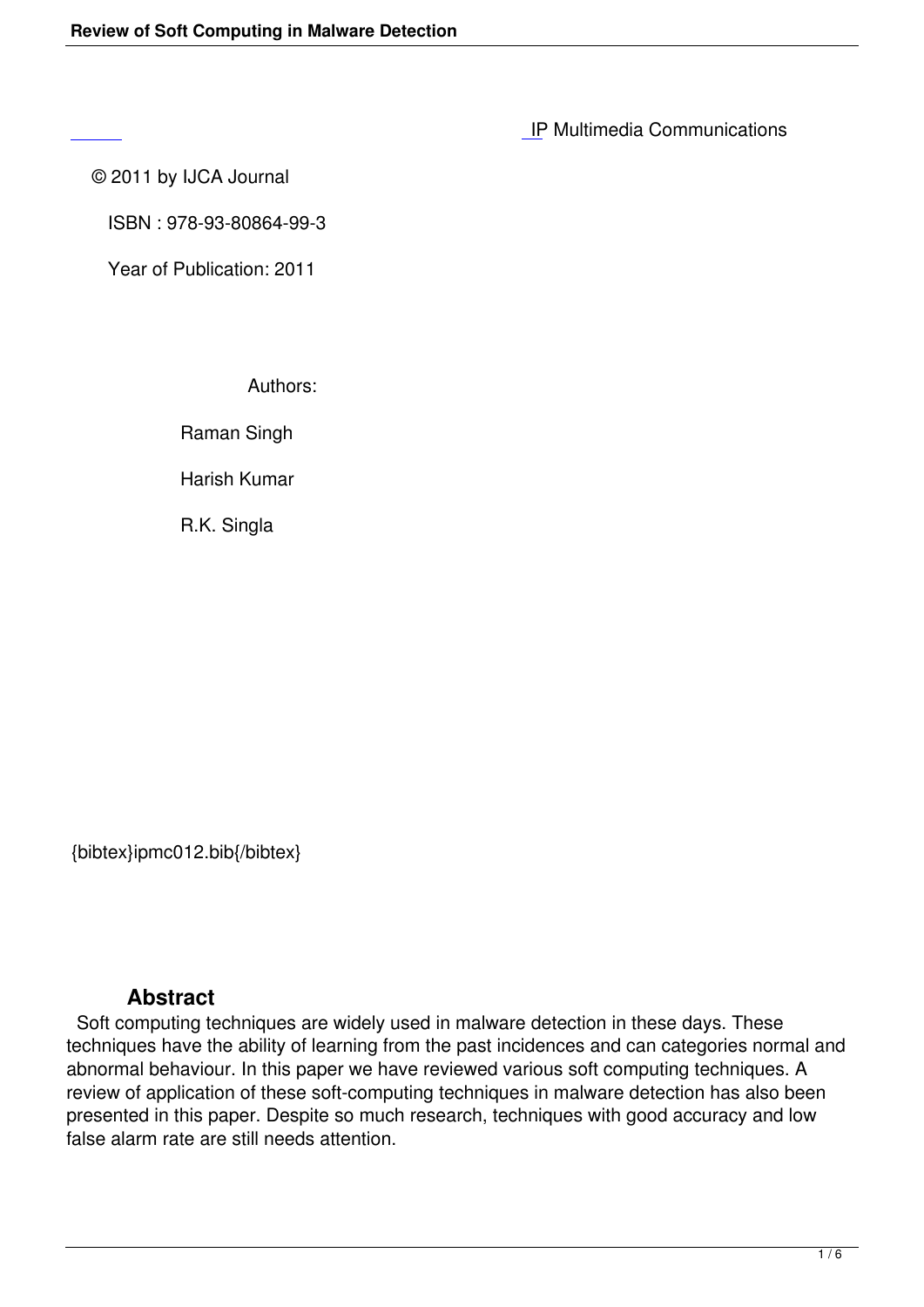IP Multimedia Communications

© 2011 by IJCA Journal

 [IS](http://research.ijcaonline.org/ipmc/number1/ipmc012.pdf)BN : 978-93-80864-99-3

Year of Publication: 2011

Authors:

Raman Singh

Harish Kumar

R.K. Singla

{bibtex}ipmc012.bib{/bibtex}

## **Abstract**

 Soft computing techniques are widely used in malware detection in these days. These techniques have the ability of learning from the past incidences and can categories normal and abnormal behaviour. In this paper we have reviewed various soft computing techniques. A review of application of these soft-computing techniques in malware detection has also been presented in this paper. Despite so much research, techniques with good accuracy and low false alarm rate are still needs attention.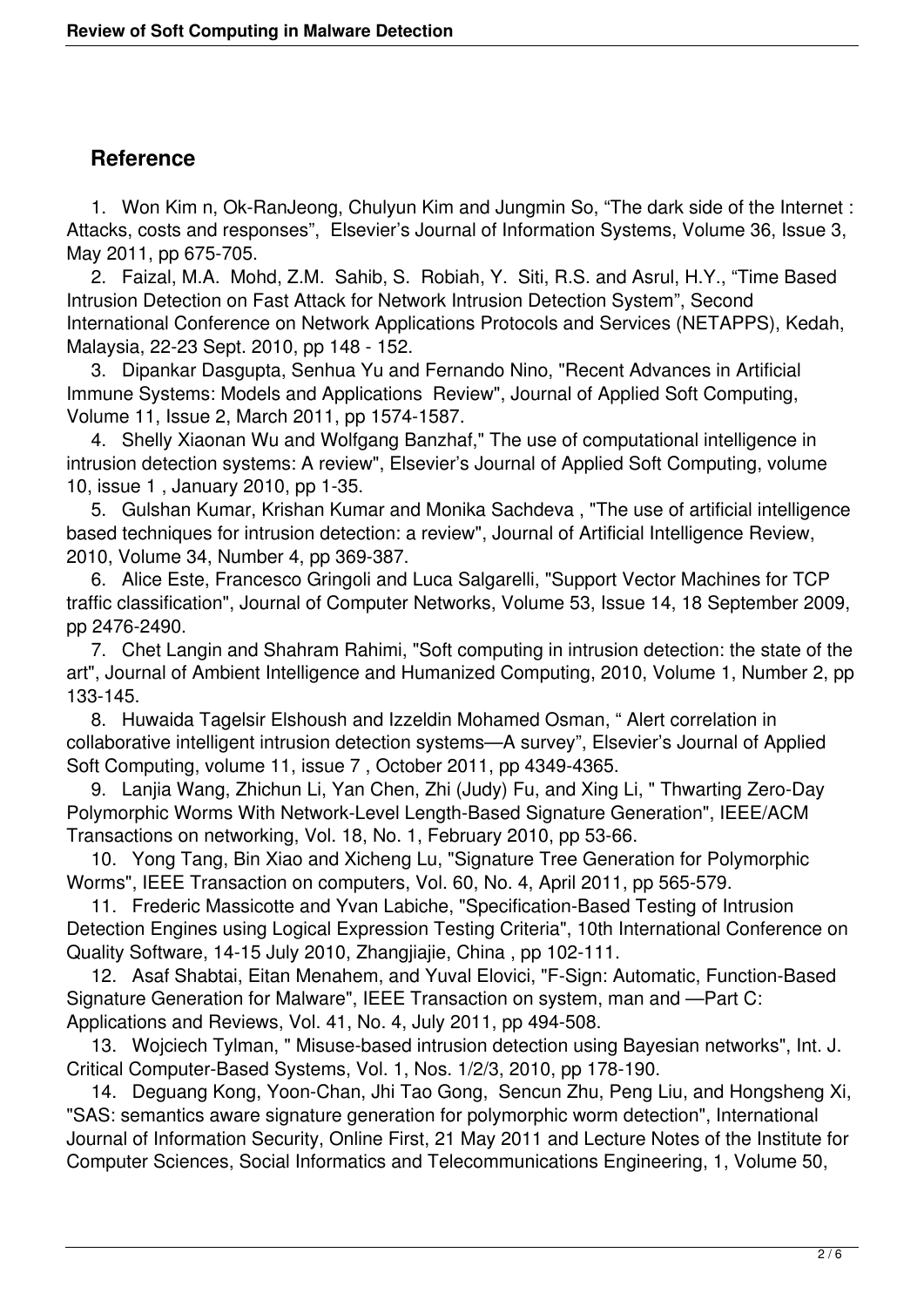## **Reference**

 1. Won Kim n, Ok-RanJeong, Chulyun Kim and Jungmin So, "The dark side of the Internet : Attacks, costs and responses", Elsevier's Journal of Information Systems, Volume 36, Issue 3, May 2011, pp 675-705.

 2. Faizal, M.A. Mohd, Z.M. Sahib, S. Robiah, Y. Siti, R.S. and Asrul, H.Y., "Time Based Intrusion Detection on Fast Attack for Network Intrusion Detection System", Second International Conference on Network Applications Protocols and Services (NETAPPS), Kedah, Malaysia, 22-23 Sept. 2010, pp 148 - 152.

 3. Dipankar Dasgupta, Senhua Yu and Fernando Nino, "Recent Advances in Artificial Immune Systems: Models and Applications Review", Journal of Applied Soft Computing, Volume 11, Issue 2, March 2011, pp 1574-1587.

 4. Shelly Xiaonan Wu and Wolfgang Banzhaf," The use of computational intelligence in intrusion detection systems: A review", Elsevier's Journal of Applied Soft Computing, volume 10, issue 1 , January 2010, pp 1-35.

 5. Gulshan Kumar, Krishan Kumar and Monika Sachdeva , "The use of artificial intelligence based techniques for intrusion detection: a review", Journal of Artificial Intelligence Review, 2010, Volume 34, Number 4, pp 369-387.

 6. Alice Este, Francesco Gringoli and Luca Salgarelli, "Support Vector Machines for TCP traffic classification", Journal of Computer Networks, Volume 53, Issue 14, 18 September 2009, pp 2476-2490.

 7. Chet Langin and Shahram Rahimi, "Soft computing in intrusion detection: the state of the art", Journal of Ambient Intelligence and Humanized Computing, 2010, Volume 1, Number 2, pp 133-145.

 8. Huwaida Tagelsir Elshoush and Izzeldin Mohamed Osman, " Alert correlation in collaborative intelligent intrusion detection systems—A survey", Elsevier's Journal of Applied Soft Computing, volume 11, issue 7 , October 2011, pp 4349-4365.

 9. Lanjia Wang, Zhichun Li, Yan Chen, Zhi (Judy) Fu, and Xing Li, " Thwarting Zero-Day Polymorphic Worms With Network-Level Length-Based Signature Generation", IEEE/ACM Transactions on networking, Vol. 18, No. 1, February 2010, pp 53-66.

 10. Yong Tang, Bin Xiao and Xicheng Lu, "Signature Tree Generation for Polymorphic Worms", IEEE Transaction on computers, Vol. 60, No. 4, April 2011, pp 565-579.

 11. Frederic Massicotte and Yvan Labiche, "Specification-Based Testing of Intrusion Detection Engines using Logical Expression Testing Criteria", 10th International Conference on Quality Software, 14-15 July 2010, Zhangjiajie, China , pp 102-111.

 12. Asaf Shabtai, Eitan Menahem, and Yuval Elovici, "F-Sign: Automatic, Function-Based Signature Generation for Malware", IEEE Transaction on system, man and —Part C: Applications and Reviews, Vol. 41, No. 4, July 2011, pp 494-508.

 13. Wojciech Tylman, " Misuse-based intrusion detection using Bayesian networks", Int. J. Critical Computer-Based Systems, Vol. 1, Nos. 1/2/3, 2010, pp 178-190.

 14. Deguang Kong, Yoon-Chan, Jhi Tao Gong, Sencun Zhu, Peng Liu, and Hongsheng Xi, "SAS: semantics aware signature generation for polymorphic worm detection", International Journal of Information Security, Online First, 21 May 2011 and Lecture Notes of the Institute for Computer Sciences, Social Informatics and Telecommunications Engineering, 1, Volume 50,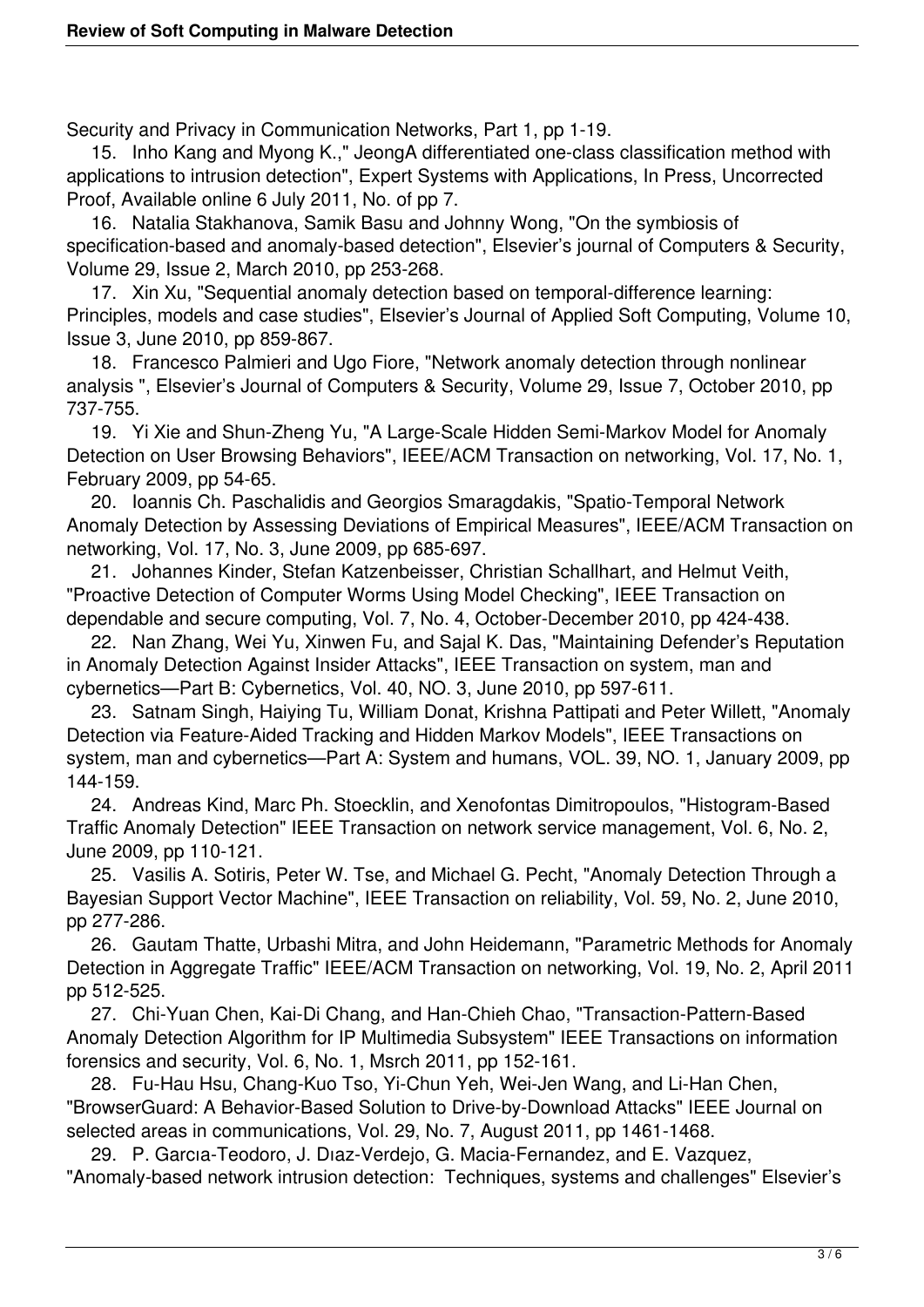Security and Privacy in Communication Networks, Part 1, pp 1-19.

 15. Inho Kang and Myong K.," JeongA differentiated one-class classification method with applications to intrusion detection", Expert Systems with Applications, In Press, Uncorrected Proof, Available online 6 July 2011, No. of pp 7.

 16. Natalia Stakhanova, Samik Basu and Johnny Wong, "On the symbiosis of specification-based and anomaly-based detection", Elsevier's journal of Computers & Security, Volume 29, Issue 2, March 2010, pp 253-268.

 17. Xin Xu, "Sequential anomaly detection based on temporal-difference learning: Principles, models and case studies", Elsevier's Journal of Applied Soft Computing, Volume 10, Issue 3, June 2010, pp 859-867.

 18. Francesco Palmieri and Ugo Fiore, "Network anomaly detection through nonlinear analysis ", Elsevier's Journal of Computers & Security, Volume 29, Issue 7, October 2010, pp 737-755.

 19. Yi Xie and Shun-Zheng Yu, "A Large-Scale Hidden Semi-Markov Model for Anomaly Detection on User Browsing Behaviors", IEEE/ACM Transaction on networking, Vol. 17, No. 1, February 2009, pp 54-65.

 20. Ioannis Ch. Paschalidis and Georgios Smaragdakis, "Spatio-Temporal Network Anomaly Detection by Assessing Deviations of Empirical Measures", IEEE/ACM Transaction on networking, Vol. 17, No. 3, June 2009, pp 685-697.

 21. Johannes Kinder, Stefan Katzenbeisser, Christian Schallhart, and Helmut Veith, "Proactive Detection of Computer Worms Using Model Checking", IEEE Transaction on dependable and secure computing, Vol. 7, No. 4, October-December 2010, pp 424-438.

 22. Nan Zhang, Wei Yu, Xinwen Fu, and Sajal K. Das, "Maintaining Defender's Reputation in Anomaly Detection Against Insider Attacks", IEEE Transaction on system, man and cybernetics—Part B: Cybernetics, Vol. 40, NO. 3, June 2010, pp 597-611.

 23. Satnam Singh, Haiying Tu, William Donat, Krishna Pattipati and Peter Willett, "Anomaly Detection via Feature-Aided Tracking and Hidden Markov Models", IEEE Transactions on system, man and cybernetics—Part A: System and humans, VOL. 39, NO. 1, January 2009, pp 144-159.

 24. Andreas Kind, Marc Ph. Stoecklin, and Xenofontas Dimitropoulos, "Histogram-Based Traffic Anomaly Detection" IEEE Transaction on network service management, Vol. 6, No. 2, June 2009, pp 110-121.

 25. Vasilis A. Sotiris, Peter W. Tse, and Michael G. Pecht, "Anomaly Detection Through a Bayesian Support Vector Machine", IEEE Transaction on reliability, Vol. 59, No. 2, June 2010, pp 277-286.

 26. Gautam Thatte, Urbashi Mitra, and John Heidemann, "Parametric Methods for Anomaly Detection in Aggregate Traffic" IEEE/ACM Transaction on networking, Vol. 19, No. 2, April 2011 pp 512-525.

 27. Chi-Yuan Chen, Kai-Di Chang, and Han-Chieh Chao, "Transaction-Pattern-Based Anomaly Detection Algorithm for IP Multimedia Subsystem" IEEE Transactions on information forensics and security, Vol. 6, No. 1, Msrch 2011, pp 152-161.

 28. Fu-Hau Hsu, Chang-Kuo Tso, Yi-Chun Yeh, Wei-Jen Wang, and Li-Han Chen, "BrowserGuard: A Behavior-Based Solution to Drive-by-Download Attacks" IEEE Journal on selected areas in communications, Vol. 29, No. 7, August 2011, pp 1461-1468.

 29. P. Garcıa-Teodoro, J. Dıaz-Verdejo, G. Macia-Fernandez, and E. Vazquez, "Anomaly-based network intrusion detection: Techniques, systems and challenges" Elsevier's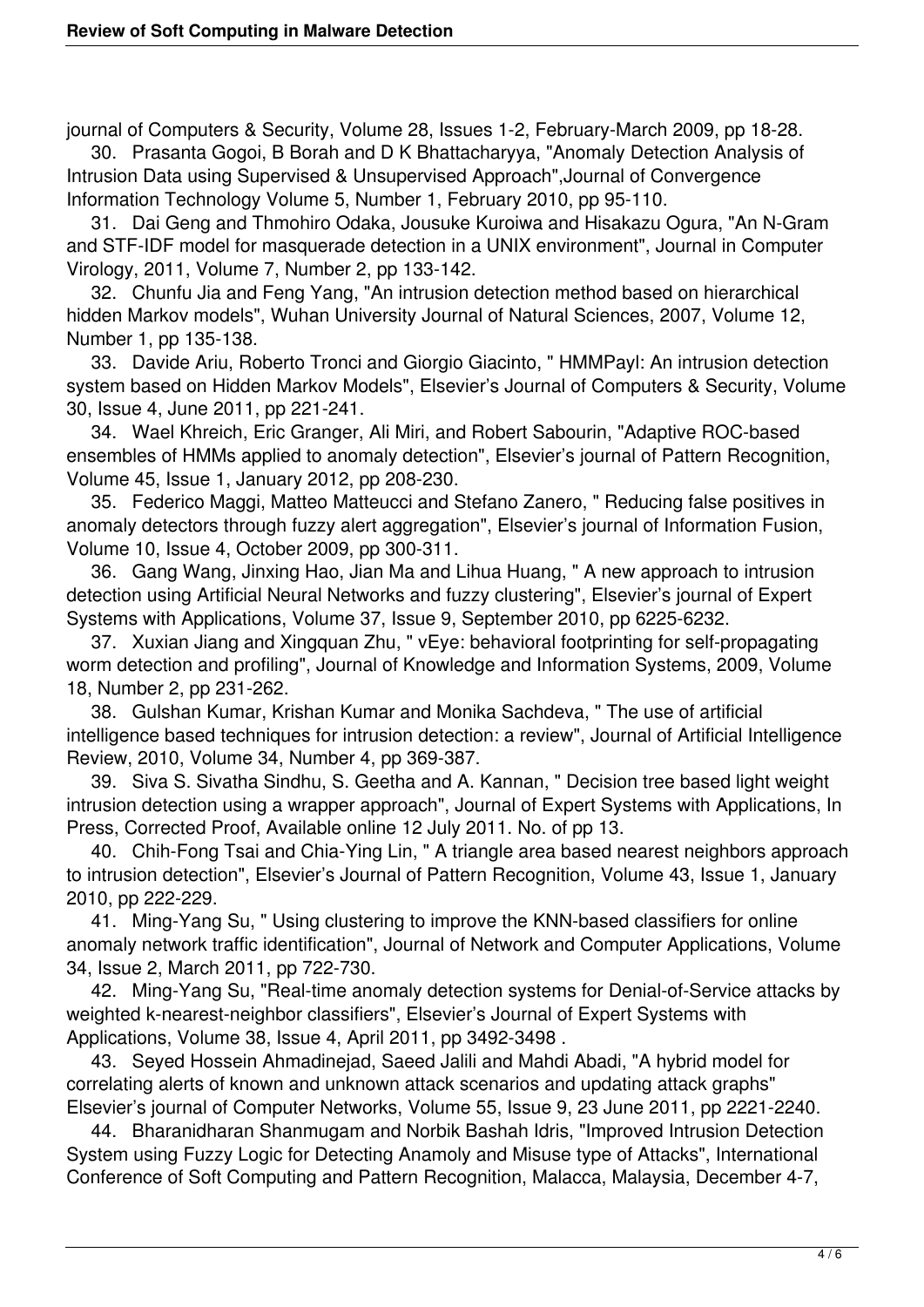journal of Computers & Security, Volume 28, Issues 1-2, February-March 2009, pp 18-28. 30. Prasanta Gogoi, B Borah and D K Bhattacharyya, "Anomaly Detection Analysis of

Intrusion Data using Supervised & Unsupervised Approach",Journal of Convergence Information Technology Volume 5, Number 1, February 2010, pp 95-110.

 31. Dai Geng and Thmohiro Odaka, Jousuke Kuroiwa and Hisakazu Ogura, "An N-Gram and STF-IDF model for masquerade detection in a UNIX environment", Journal in Computer Virology, 2011, Volume 7, Number 2, pp 133-142.

 32. Chunfu Jia and Feng Yang, "An intrusion detection method based on hierarchical hidden Markov models", Wuhan University Journal of Natural Sciences, 2007, Volume 12, Number 1, pp 135-138.

 33. Davide Ariu, Roberto Tronci and Giorgio Giacinto, " HMMPayl: An intrusion detection system based on Hidden Markov Models", Elsevier's Journal of Computers & Security, Volume 30, Issue 4, June 2011, pp 221-241.

 34. Wael Khreich, Eric Granger, Ali Miri, and Robert Sabourin, "Adaptive ROC-based ensembles of HMMs applied to anomaly detection", Elsevier's journal of Pattern Recognition, Volume 45, Issue 1, January 2012, pp 208-230.

 35. Federico Maggi, Matteo Matteucci and Stefano Zanero, " Reducing false positives in anomaly detectors through fuzzy alert aggregation", Elsevier's journal of Information Fusion, Volume 10, Issue 4, October 2009, pp 300-311.

 36. Gang Wang, Jinxing Hao, Jian Ma and Lihua Huang, " A new approach to intrusion detection using Artificial Neural Networks and fuzzy clustering", Elsevier's journal of Expert Systems with Applications, Volume 37, Issue 9, September 2010, pp 6225-6232.

 37. Xuxian Jiang and Xingquan Zhu, " vEye: behavioral footprinting for self-propagating worm detection and profiling", Journal of Knowledge and Information Systems, 2009, Volume 18, Number 2, pp 231-262.

 38. Gulshan Kumar, Krishan Kumar and Monika Sachdeva, " The use of artificial intelligence based techniques for intrusion detection: a review", Journal of Artificial Intelligence Review, 2010, Volume 34, Number 4, pp 369-387.

 39. Siva S. Sivatha Sindhu, S. Geetha and A. Kannan, " Decision tree based light weight intrusion detection using a wrapper approach", Journal of Expert Systems with Applications, In Press, Corrected Proof, Available online 12 July 2011. No. of pp 13.

 40. Chih-Fong Tsai and Chia-Ying Lin, " A triangle area based nearest neighbors approach to intrusion detection", Elsevier's Journal of Pattern Recognition, Volume 43, Issue 1, January 2010, pp 222-229.

 41. Ming-Yang Su, " Using clustering to improve the KNN-based classifiers for online anomaly network traffic identification", Journal of Network and Computer Applications, Volume 34, Issue 2, March 2011, pp 722-730.

 42. Ming-Yang Su, "Real-time anomaly detection systems for Denial-of-Service attacks by weighted k-nearest-neighbor classifiers", Elsevier's Journal of Expert Systems with Applications, Volume 38, Issue 4, April 2011, pp 3492-3498 .

 43. Seyed Hossein Ahmadinejad, Saeed Jalili and Mahdi Abadi, "A hybrid model for correlating alerts of known and unknown attack scenarios and updating attack graphs" Elsevier's journal of Computer Networks, Volume 55, Issue 9, 23 June 2011, pp 2221-2240.

 44. Bharanidharan Shanmugam and Norbik Bashah Idris, "Improved Intrusion Detection System using Fuzzy Logic for Detecting Anamoly and Misuse type of Attacks", International Conference of Soft Computing and Pattern Recognition, Malacca, Malaysia, December 4-7,